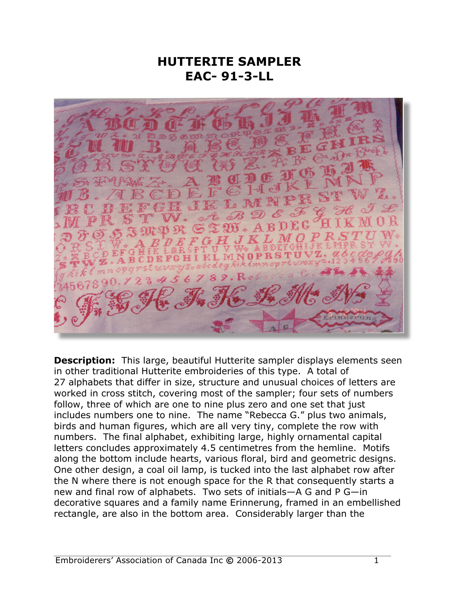## **HUTTERITE SAMPLER EAC- 91-3-LL**



**Description:** This large, beautiful Hutterite sampler displays elements seen in other traditional Hutterite embroideries of this type. A total of 27 alphabets that differ in size, structure and unusual choices of letters are worked in cross stitch, covering most of the sampler; four sets of numbers follow, three of which are one to nine plus zero and one set that just includes numbers one to nine. The name "Rebecca G." plus two animals, birds and human figures, which are all very tiny, complete the row with numbers. The final alphabet, exhibiting large, highly ornamental capital letters concludes approximately 4.5 centimetres from the hemline. Motifs along the bottom include hearts, various floral, bird and geometric designs. One other design, a coal oil lamp, is tucked into the last alphabet row after the N where there is not enough space for the R that consequently starts a new and final row of alphabets. Two sets of initials—A G and P G—in decorative squares and a family name Erinnerung, framed in an embellished rectangle, are also in the bottom area. Considerably larger than the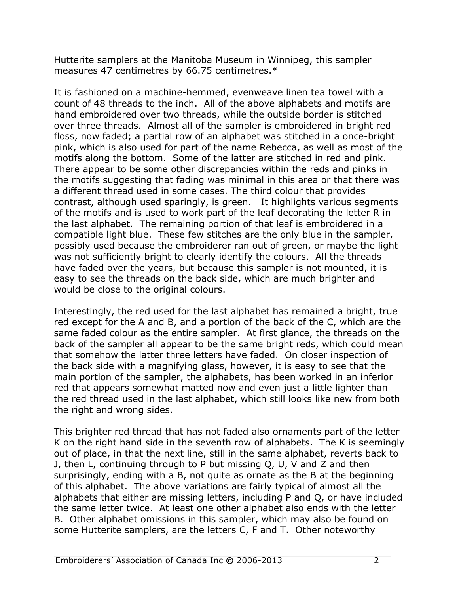Hutterite samplers at the Manitoba Museum in Winnipeg, this sampler measures 47 centimetres by 66.75 centimetres.\*

It is fashioned on a machine-hemmed, evenweave linen tea towel with a count of 48 threads to the inch. All of the above alphabets and motifs are hand embroidered over two threads, while the outside border is stitched over three threads. Almost all of the sampler is embroidered in bright red floss, now faded; a partial row of an alphabet was stitched in a once-bright pink, which is also used for part of the name Rebecca, as well as most of the motifs along the bottom. Some of the latter are stitched in red and pink. There appear to be some other discrepancies within the reds and pinks in the motifs suggesting that fading was minimal in this area or that there was a different thread used in some cases. The third colour that provides contrast, although used sparingly, is green. It highlights various segments of the motifs and is used to work part of the leaf decorating the letter R in the last alphabet. The remaining portion of that leaf is embroidered in a compatible light blue. These few stitches are the only blue in the sampler, possibly used because the embroiderer ran out of green, or maybe the light was not sufficiently bright to clearly identify the colours. All the threads have faded over the years, but because this sampler is not mounted, it is easy to see the threads on the back side, which are much brighter and would be close to the original colours.

Interestingly, the red used for the last alphabet has remained a bright, true red except for the A and B, and a portion of the back of the C, which are the same faded colour as the entire sampler. At first glance, the threads on the back of the sampler all appear to be the same bright reds, which could mean that somehow the latter three letters have faded. On closer inspection of the back side with a magnifying glass, however, it is easy to see that the main portion of the sampler, the alphabets, has been worked in an inferior red that appears somewhat matted now and even just a little lighter than the red thread used in the last alphabet, which still looks like new from both the right and wrong sides.

This brighter red thread that has not faded also ornaments part of the letter K on the right hand side in the seventh row of alphabets. The K is seemingly out of place, in that the next line, still in the same alphabet, reverts back to J, then L, continuing through to P but missing Q, U, V and Z and then surprisingly, ending with a B, not quite as ornate as the B at the beginning of this alphabet. The above variations are fairly typical of almost all the alphabets that either are missing letters, including P and Q, or have included the same letter twice. At least one other alphabet also ends with the letter B. Other alphabet omissions in this sampler, which may also be found on some Hutterite samplers, are the letters C, F and T. Other noteworthy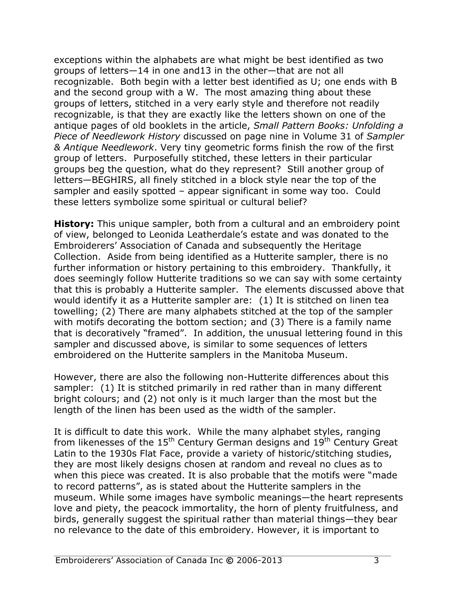exceptions within the alphabets are what might be best identified as two groups of letters—14 in one and13 in the other—that are not all recognizable. Both begin with a letter best identified as U; one ends with B and the second group with a W. The most amazing thing about these groups of letters, stitched in a very early style and therefore not readily recognizable, is that they are exactly like the letters shown on one of the antique pages of old booklets in the article, *Small Pattern Books: Unfolding a Piece of Needlework History* discussed on page nine in Volume 31 of *Sampler & Antique Needlework*. Very tiny geometric forms finish the row of the first group of letters. Purposefully stitched, these letters in their particular groups beg the question, what do they represent? Still another group of letters—BEGHIRS, all finely stitched in a block style near the top of the sampler and easily spotted – appear significant in some way too. Could these letters symbolize some spiritual or cultural belief?

**History:** This unique sampler, both from a cultural and an embroidery point of view, belonged to Leonida Leatherdale's estate and was donated to the Embroiderers' Association of Canada and subsequently the Heritage Collection. Aside from being identified as a Hutterite sampler, there is no further information or history pertaining to this embroidery. Thankfully, it does seemingly follow Hutterite traditions so we can say with some certainty that this is probably a Hutterite sampler. The elements discussed above that would identify it as a Hutterite sampler are: (1) It is stitched on linen tea towelling; (2) There are many alphabets stitched at the top of the sampler with motifs decorating the bottom section; and (3) There is a family name that is decoratively "framed". In addition, the unusual lettering found in this sampler and discussed above, is similar to some sequences of letters embroidered on the Hutterite samplers in the Manitoba Museum.

However, there are also the following non-Hutterite differences about this sampler: (1) It is stitched primarily in red rather than in many different bright colours; and (2) not only is it much larger than the most but the length of the linen has been used as the width of the sampler.

It is difficult to date this work. While the many alphabet styles, ranging from likenesses of the  $15<sup>th</sup>$  Century German designs and  $19<sup>th</sup>$  Century Great Latin to the 1930s Flat Face, provide a variety of historic/stitching studies, they are most likely designs chosen at random and reveal no clues as to when this piece was created. It is also probable that the motifs were "made to record patterns", as is stated about the Hutterite samplers in the museum. While some images have symbolic meanings—the heart represents love and piety, the peacock immortality, the horn of plenty fruitfulness, and birds, generally suggest the spiritual rather than material things—they bear no relevance to the date of this embroidery. However, it is important to